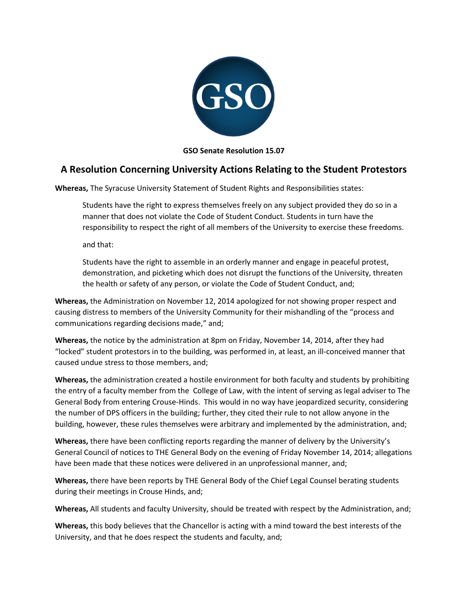

**GSO Senate Resolution 15.07**

## **A Resolution Concerning University Actions Relating to the Student Protestors**

**Whereas,** The Syracuse University Statement of Student Rights and Responsibilities states:

Students have the right to express themselves freely on any subject provided they do so in a manner that does not violate the Code of Student Conduct. Students in turn have the responsibility to respect the right of all members of the University to exercise these freedoms.

and that:

Students have the right to assemble in an orderly manner and engage in peaceful protest, demonstration, and picketing which does not disrupt the functions of the University, threaten the health or safety of any person, or violate the Code of Student Conduct, and;

**Whereas,** the Administration on November 12, 2014 apologized for not showing proper respect and causing distress to members of the University Community for their mishandling of the "process and communications regarding decisions made," and;

**Whereas,** the notice by the administration at 8pm on Friday, November 14, 2014, after they had "locked" student protestors in to the building, was performed in, at least, an ill-conceived manner that caused undue stress to those members, and;

**Whereas,** the administration created a hostile environment for both faculty and students by prohibiting the entry of a faculty member from the College of Law, with the intent of serving as legal adviser to The General Body from entering Crouse-Hinds. This would in no way have jeopardized security, considering the number of DPS officers in the building; further, they cited their rule to not allow anyone in the building, however, these rules themselves were arbitrary and implemented by the administration, and;

**Whereas,** there have been conflicting reports regarding the manner of delivery by the University's General Council of notices to THE General Body on the evening of Friday November 14, 2014; allegations have been made that these notices were delivered in an unprofessional manner, and;

**Whereas,** there have been reports by THE General Body of the Chief Legal Counsel berating students during their meetings in Crouse Hinds, and;

**Whereas,** All students and faculty University, should be treated with respect by the Administration, and;

**Whereas,** this body believes that the Chancellor is acting with a mind toward the best interests of the University, and that he does respect the students and faculty, and;